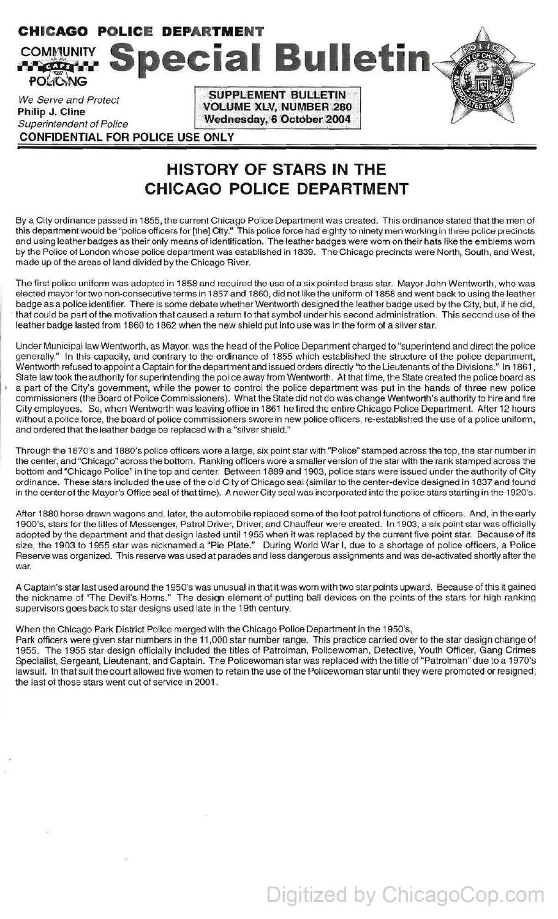## **CHICAGO POLICE DEPARTMENT COMMUNITY Special Bulletin** *foliong*  $\text{SUPPLEMENT BULLETIN}$ We Serve and Protect **N:o:** N:O: NOLUME XLV, NUMBER 280<br>Philip J. Cline

~ imp c. cinc secure wednesday, 6 October 2004 **CONFIDENTIAL FOR POLICE USE ONLY** 

## **HISTORY OF STARS IN THE CHICAGO POLICE DEPARTMENT**

By a City ordinance passed in 1855, the current Chicago Police Department was created. This ordinance stated that the men of this department would be "police officers for [the] City." This police force had eighty to ninety men working in three police precincts and using leather badges as their only means of identification. The leather badges were worn on their hats like the emblems worn by the Police of London whose police department was established in 1839. The Chicago precincts were North, South, and West, made up of the areas of land divided by the Chicago River.

The first police uniform was adopted in 1858 and required the use of a six pointed brass star. Mayor John Wentworth, who was elected mayor for two non-consecutive terms in 1857 and 1860, did not like the uniform of 1858 and went back to using the leather badge as a police identifier. There is some debate whether Wentworth designed the leather badge used by the City, but, if he did, · that could be part of the motivation that caused a return to that symbol under his second administration. This second use of the leather badge lasted from 1860 to 1862 when the new shield put into use was in the form of a silver star.

Under Municipal law Wentworth, as Mayor, was the head of the Police Department charged to "superintend and direct the police generally." In this capacity, and contrary to the ordinance of 1855 which established the structure of the police department, Wentworth refused to appoint a Captain for the department and issued orders directly "to the Lieutenants of the Divisions." In 1861, State law took the authority for superintending the police away from Wentworth. At that time, the State created the police board as a part of the City's government, while the power to control the police department was put in the hands of three new police commissioners (the Board of Police Commissioners). What the State did not do was change Wentworth's authority to hire and fire City employees. So, when Wentworth was leaving office in 1861 he fired the entire Chicago Police Department. After 12 hours without a police force, the board of police commissioners swore in new police officers, re-established the use of a police uniform, and ordered that the leather badge be replaced with a "silver shield."

Through the 1870's and 1880's police officers wore a large, six point star with "Police" stamped across the top, the star number in the center, and "Chicago" across the bottom. Ranking officers wore a smaller version of the star with the rank stamped across the bottom and "Chicago Police" in the top and center. Between 1889 and 1903, police stars were issued under the authority of City ordinance. These stars included the use of the old City of Chicago seal (similar to the center-device designed in 1837 and found in the center of the Mayor's Office seal of that time). A newer City seal was incorporated into the police stars starting in the 1920's.

After 1880 horse drawn wagons and, later, the automobile replaced some of the foot patrol functions of officers. And, in the early 1900's, stars for the titles of Messenger, Patrol Driver, Driver, and Chauffeur were created. In 1903, a six point star was officially adopted by the department and that design lasted until 1955 when it was replaced by the current five point star. Because of its size, the 1903 to 1955 star was nicknamed a "Pie Plate." During World War I, due to a shortage of police officers, a Police Reserve was organized. This reserve was used at parades and less dangerous assignments and was de-activated shortly after the war.

A Captain's star last used around the 1950's was unusual in that it was worn with two star points upward. Because of this it gained the nickname of "The Devil's Horns." The design element of putting ball devices on the points of the stars for high ranking supervisors goes back to star designs used late in the 19th century.

## When the Chicago Park District Police merged with the Chicago Police Department in the 1950's,

Park officers were given star numbers in the 11,000 star number range. This practice carried over to the star design change of 1955. The 1955 star design officially included the titles of Patrolman, Policewoman, Detective, Youth Officer, Gang Crimes Specialist, Sergeant, Lieutenant, and Captain. The Policewoman star was replaced with the title of "Patrolman" due to a 1970's lawsuit. In that suit the court allowed five women to retain the use of the Policewoman star until they were promoted or resigned; the last of those stars went out of service in 2001.